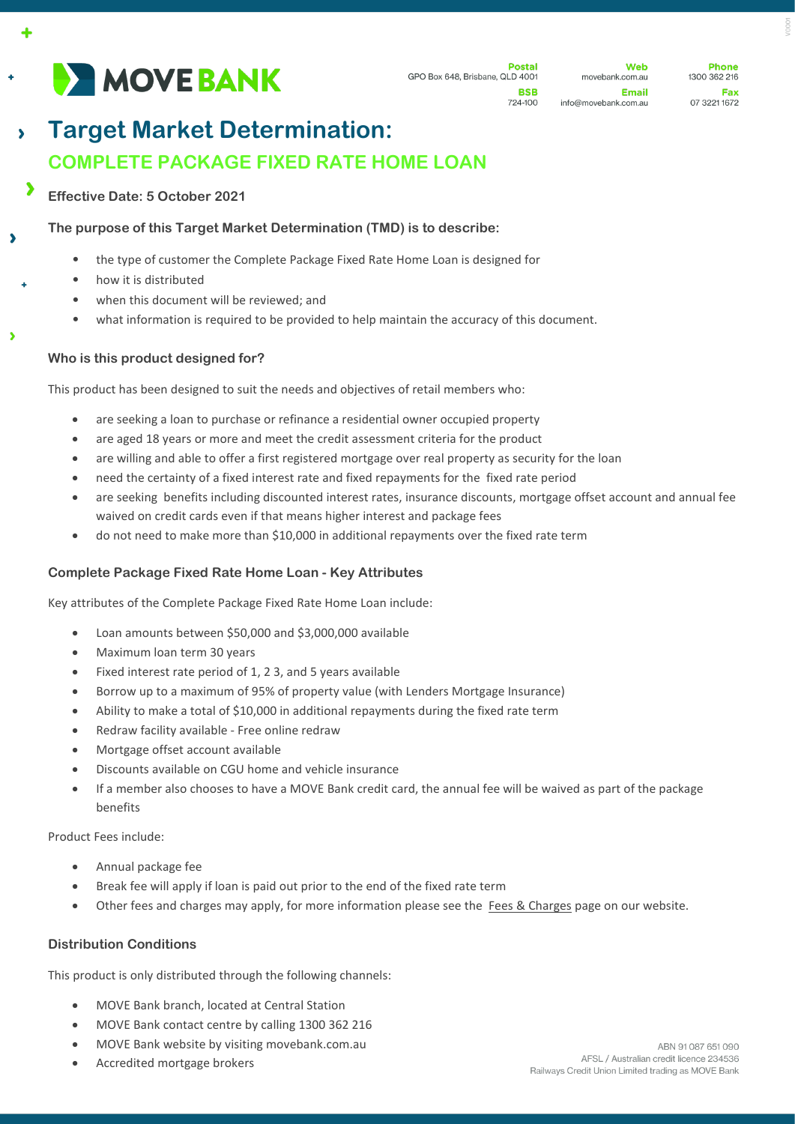

**Dostal** GPO Box 648, Brisbane, QLD 4001 **BSR** 

724-100

**Web** movebank.com.au **Email** info@movebank.com.au

**Dhone** 1300 362 216 Fax 07 3221 1672

# **Target Market Determination:**   $\overline{\phantom{0}}$ **COMPLETE PACKAGE FIXED RATE HOME LOAN**

**Effective Date: 5 October 2021**

**The purpose of this Target Market Determination (TMD) is to describe:**

- the type of customer the Complete Package Fixed Rate Home Loan is designed for
- how it is distributed

À

- when this document will be reviewed; and
- what information is required to be provided to help maintain the accuracy of this document.

## **Who is this product designed for?**

This product has been designed to suit the needs and objectives of retail members who:

- are seeking a loan to purchase or refinance a residential owner occupied property
- are aged 18 years or more and meet the credit assessment criteria for the product
- are willing and able to offer a first registered mortgage over real property as security for the loan
- need the certainty of a fixed interest rate and fixed repayments for the fixed rate period
- are seeking benefits including discounted interest rates, insurance discounts, mortgage offset account and annual fee waived on credit cards even if that means higher interest and package fees
- do not need to make more than \$10,000 in additional repayments over the fixed rate term

#### **Complete Package Fixed Rate Home Loan - Key Attributes**

Key attributes of the Complete Package Fixed Rate Home Loan include:

- Loan amounts between \$50,000 and \$3,000,000 available
- Maximum loan term 30 years
- Fixed interest rate period of 1, 2 3, and 5 years available
- Borrow up to a maximum of 95% of property value (with Lenders Mortgage Insurance)
- Ability to make a total of \$10,000 in additional repayments during the fixed rate term
- Redraw facility available Free online redraw
- Mortgage offset account available
- Discounts available on CGU home and vehicle insurance
- If a member also chooses to have a MOVE Bank credit card, the annual fee will be waived as part of the package benefits

Product Fees include:

- Annual package fee
- Break fee will apply if loan is paid out prior to the end of the fixed rate term
- Other fees and charges may apply, for more information please see the [Fees & Charges](https://movebank.com.au/quick-links/fees-charges/) page on our website.

#### **Distribution Conditions**

This product is only distributed through the following channels:

- MOVE Bank branch, located at Central Station
- MOVE Bank contact centre by calling 1300 362 216
- MOVE Bank website by visiting movebank.com.au
- Accredited mortgage brokers